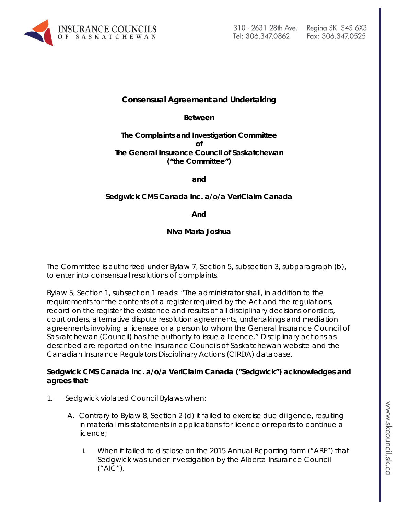

## **Consensual Agreement and Undertaking**

**Between**

**The Complaints and Investigation Committee of The General Insurance Council of Saskatchewan ("the Committee")**

**and**

## **Sedgwick CMS Canada Inc. a/o/a VeriClaim Canada**

**And**

**Niva Maria Joshua**

The Committee is authorized under Bylaw 7, Section 5, subsection 3, subparagraph (b), to enter into consensual resolutions of complaints.

Bylaw 5, Section 1, subsection 1 reads: "The administrator shall, in addition to the requirements for the contents of a register required by the Act and the regulations, record on the register the existence and results of all disciplinary decisions or orders, court orders, alternative dispute resolution agreements, undertakings and mediation agreements involving a licensee or a person to whom the General Insurance Council of Saskatchewan (Council) has the authority to issue a licence." Disciplinary actions as described are reported on the Insurance Councils of Saskatchewan website and the Canadian Insurance Regulators Disciplinary Actions (CIRDA) database.

## **Sedgwick CMS Canada Inc. a/o/a VeriClaim Canada ("Sedgwick") acknowledges and agrees that:**

- 1. Sedgwick violated Council Bylaws when:
	- A. Contrary to Bylaw 8, Section 2 (d) it failed to exercise due diligence, resulting in material mis-statements in applications for licence or reports to continue a licence;
		- i. When it failed to disclose on the 2015 Annual Reporting form ("ARF") that Sedgwick was under investigation by the Alberta Insurance Council ("AIC").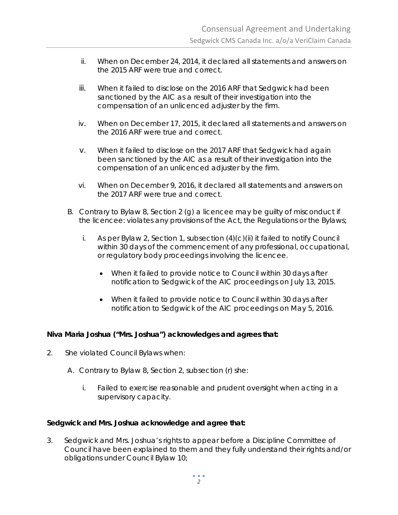- ii. When on December 24, 2014, it declared all statements and answers on the 2015 ARF were true and correct.
- iii. When it failed to disclose on the 2016 ARF that Sedgwick had been sanctioned by the AIC as a result of their investigation into the compensation of an unlicenced adjuster by the firm.
- iv. When on December 17, 2015, it declared all statements and answers on the 2016 ARF were true and correct.
- v. When it failed to disclose on the 2017 ARF that Sedgwick had again been sanctioned by the AIC as a result of their investigation into the compensation of an unlicenced adjuster by the firm.
- vi. When on December 9, 2016, it declared all statements and answers on the 2017 ARF were true and correct.
- B. Contrary to Bylaw 8, Section 2 (g) a licencee may be guilty of misconduct if the licencee: violates any provisions of the Act, the Regulations or the Bylaws;
	- i. As per Bylaw 2, Section 1, subsection  $(4)(c)(ii)$  it failed to notify Council within 30 days of the commencement of any professional, occupational, or regulatory body proceedings involving the licencee.
		- When it failed to provide notice to Council within 30 days after notification to Sedgwick of the AIC proceedings on July 13, 2015.
		- When it failed to provide notice to Council within 30 days after notification to Sedgwick of the AIC proceedings on May 5, 2016.

## **Niva Maria Joshua ("Mrs. Joshua") acknowledges and agrees that:**

- 2. She violated Council Bylaws when:
	- A. Contrary to Bylaw 8, Section 2, subsection (r) she:
		- i. Failed to exercise reasonable and prudent oversight when acting in a supervisory capacity.

## **Sedgwick and Mrs. Joshua acknowledge and agree that:**

3. Sedgwick and Mrs. Joshua's rights to appear before a Discipline Committee of Council have been explained to them and they fully understand their rights and/or obligations under Council Bylaw 10;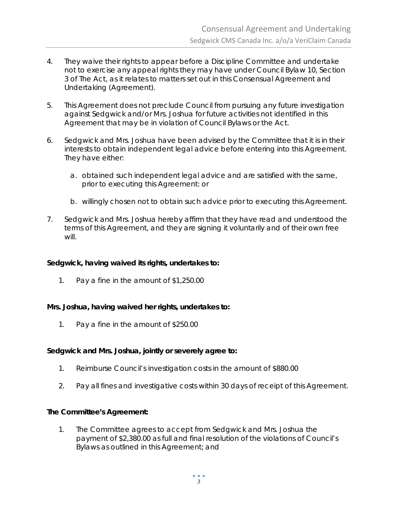- 4. They waive their rights to appear before a Discipline Committee and undertake not to exercise any appeal rights they may have under Council Bylaw 10, Section 3 of The Act*,* as it relates to matters set out in this Consensual Agreement and Undertaking (Agreement).
- 5. This Agreement does not preclude Council from pursuing any future investigation against Sedgwick and/or Mrs. Joshua for future activities not identified in this Agreement that may be in violation of Council Bylaws or the Act.
- 6. Sedgwick and Mrs. Joshua have been advised by the Committee that it is in their interests to obtain independent legal advice before entering into this Agreement. They have either:
	- a. obtained such independent legal advice and are satisfied with the same, prior to executing this Agreement: or
	- b. willingly chosen not to obtain such advice prior to executing this Agreement.
- 7. Sedgwick and Mrs. Joshua hereby affirm that they have read and understood the terms of this Agreement, and they are signing it voluntarily and of their own free will.

#### **Sedgwick, having waived its rights, undertakes to:**

1. Pay a fine in the amount of \$1,250.00

#### **Mrs. Joshua, having waived her rights, undertakes to:**

1. Pay a fine in the amount of \$250.00

#### **Sedgwick and Mrs. Joshua, jointly or severely agree to:**

- 1. Reimburse Council's investigation costs in the amount of \$880.00
- 2. Pay all fines and investigative costs within 30 days of receipt of this Agreement.

#### **The Committee's Agreement:**

1. The Committee agrees to accept from Sedgwick and Mrs. Joshua the payment of \$2,380.00 as full and final resolution of the violations of Council's Bylaws as outlined in this Agreement; and